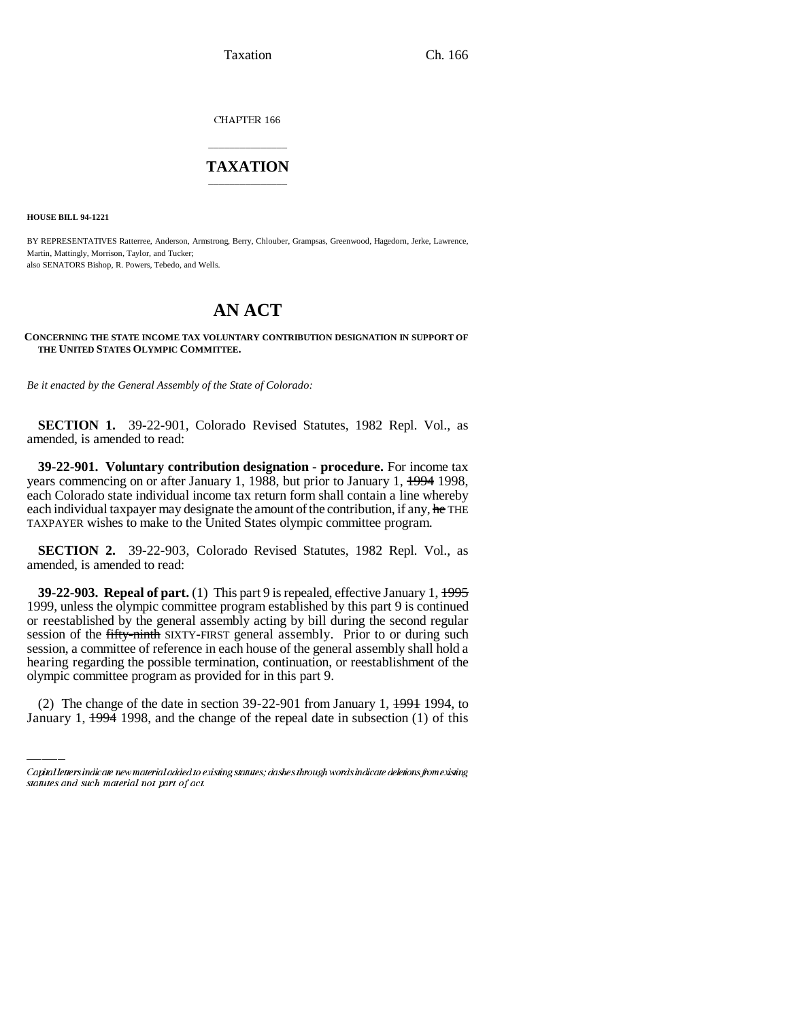Taxation Ch. 166

CHAPTER 166

## \_\_\_\_\_\_\_\_\_\_\_\_\_\_\_ **TAXATION** \_\_\_\_\_\_\_\_\_\_\_\_\_\_\_

**HOUSE BILL 94-1221**

BY REPRESENTATIVES Ratterree, Anderson, Armstrong, Berry, Chlouber, Grampsas, Greenwood, Hagedorn, Jerke, Lawrence, Martin, Mattingly, Morrison, Taylor, and Tucker; also SENATORS Bishop, R. Powers, Tebedo, and Wells.

## **AN ACT**

**CONCERNING THE STATE INCOME TAX VOLUNTARY CONTRIBUTION DESIGNATION IN SUPPORT OF THE UNITED STATES OLYMPIC COMMITTEE.**

*Be it enacted by the General Assembly of the State of Colorado:*

**SECTION 1.** 39-22-901, Colorado Revised Statutes, 1982 Repl. Vol., as amended, is amended to read:

**39-22-901. Voluntary contribution designation - procedure.** For income tax years commencing on or after January 1, 1988, but prior to January 1, 1994 1998, each Colorado state individual income tax return form shall contain a line whereby each individual taxpayer may designate the amount of the contribution, if any, he THE TAXPAYER wishes to make to the United States olympic committee program.

**SECTION 2.** 39-22-903, Colorado Revised Statutes, 1982 Repl. Vol., as amended, is amended to read:

hearing regarding the possible termination, continuation, or reestablishment of the **39-22-903. Repeal of part.** (1) This part 9 is repealed, effective January 1, 1995 1999, unless the olympic committee program established by this part 9 is continued or reestablished by the general assembly acting by bill during the second regular session of the fifty-ninth SIXTY-FIRST general assembly. Prior to or during such session, a committee of reference in each house of the general assembly shall hold a olympic committee program as provided for in this part 9.

(2) The change of the date in section  $39-22-901$  from January 1,  $1.1991$  1994, to January 1, 1994 1998, and the change of the repeal date in subsection (1) of this

Capital letters indicate new material added to existing statutes; dashes through words indicate deletions from existing statutes and such material not part of act.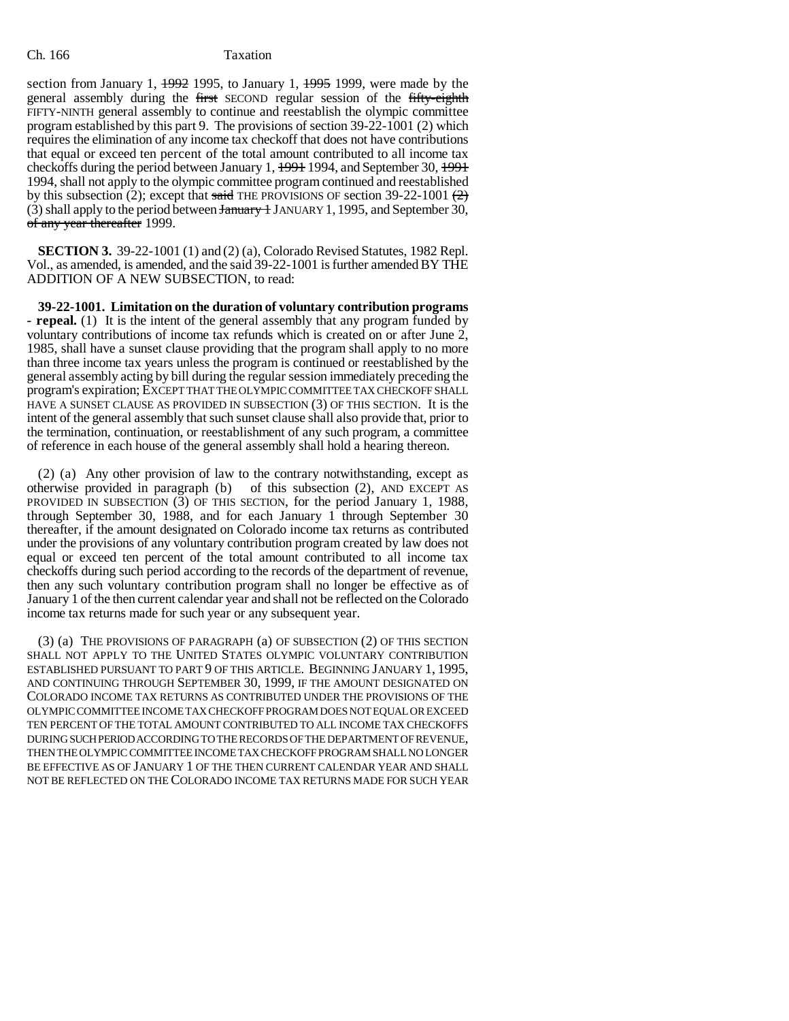section from January 1,  $\frac{1992}{1995}$ , to January 1,  $\frac{1995}{1999}$ , were made by the general assembly during the first SECOND regular session of the fifty-eighth FIFTY-NINTH general assembly to continue and reestablish the olympic committee program established by this part 9. The provisions of section 39-22-1001 (2) which requires the elimination of any income tax checkoff that does not have contributions that equal or exceed ten percent of the total amount contributed to all income tax checkoffs during the period between January 1, 1991 1994, and September 30, 1991 1994, shall not apply to the olympic committee program continued and reestablished by this subsection (2); except that said THE PROVISIONS OF section 39-22-1001  $(2)$ (3) shall apply to the period between  $\frac{1}{2}$  JANUARY 1, 1995, and September 30, of any year thereafter 1999.

**SECTION 3.** 39-22-1001 (1) and (2) (a), Colorado Revised Statutes, 1982 Repl. Vol., as amended, is amended, and the said 39-22-1001 is further amended BY THE ADDITION OF A NEW SUBSECTION, to read:

**39-22-1001. Limitation on the duration of voluntary contribution programs - repeal.** (1) It is the intent of the general assembly that any program funded by voluntary contributions of income tax refunds which is created on or after June 2, 1985, shall have a sunset clause providing that the program shall apply to no more than three income tax years unless the program is continued or reestablished by the general assembly acting by bill during the regular session immediately preceding the program's expiration; EXCEPT THAT THE OLYMPIC COMMITTEE TAX CHECKOFF SHALL HAVE A SUNSET CLAUSE AS PROVIDED IN SUBSECTION (3) OF THIS SECTION. It is the intent of the general assembly that such sunset clause shall also provide that, prior to the termination, continuation, or reestablishment of any such program, a committee of reference in each house of the general assembly shall hold a hearing thereon.

(2) (a) Any other provision of law to the contrary notwithstanding, except as otherwise provided in paragraph (b) of this subsection (2), AND EXCEPT AS PROVIDED IN SUBSECTION  $(3)$  OF THIS SECTION, for the period January 1, 1988, through September 30, 1988, and for each January 1 through September 30 thereafter, if the amount designated on Colorado income tax returns as contributed under the provisions of any voluntary contribution program created by law does not equal or exceed ten percent of the total amount contributed to all income tax checkoffs during such period according to the records of the department of revenue, then any such voluntary contribution program shall no longer be effective as of January 1 of the then current calendar year and shall not be reflected on the Colorado income tax returns made for such year or any subsequent year.

(3) (a) THE PROVISIONS OF PARAGRAPH (a) OF SUBSECTION (2) OF THIS SECTION SHALL NOT APPLY TO THE UNITED STATES OLYMPIC VOLUNTARY CONTRIBUTION ESTABLISHED PURSUANT TO PART 9 OF THIS ARTICLE. BEGINNING JANUARY 1, 1995, AND CONTINUING THROUGH SEPTEMBER 30, 1999, IF THE AMOUNT DESIGNATED ON COLORADO INCOME TAX RETURNS AS CONTRIBUTED UNDER THE PROVISIONS OF THE OLYMPIC COMMITTEE INCOME TAX CHECKOFF PROGRAM DOES NOT EQUAL OR EXCEED TEN PERCENT OF THE TOTAL AMOUNT CONTRIBUTED TO ALL INCOME TAX CHECKOFFS DURING SUCH PERIOD ACCORDING TO THE RECORDS OF THE DEPARTMENT OF REVENUE, THEN THE OLYMPIC COMMITTEE INCOME TAX CHECKOFF PROGRAM SHALL NO LONGER BE EFFECTIVE AS OF JANUARY 1 OF THE THEN CURRENT CALENDAR YEAR AND SHALL NOT BE REFLECTED ON THE COLORADO INCOME TAX RETURNS MADE FOR SUCH YEAR